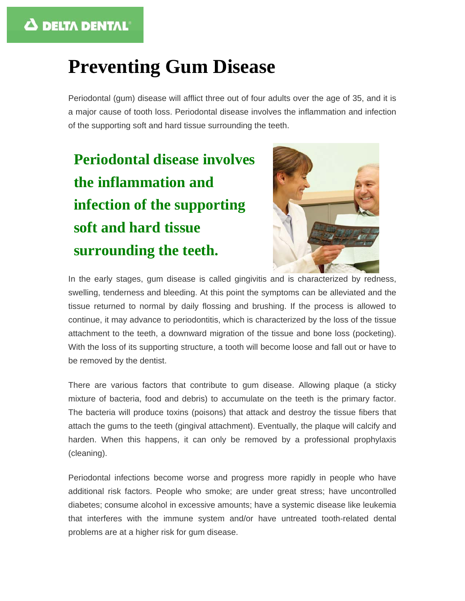## **Preventing Gum Disease**

Periodontal (gum) disease will afflict three out of four adults over the age of 35, and it is a major cause of tooth loss. Periodontal disease involves the inflammation and infection of the supporting soft and hard tissue surrounding the teeth.

# **Periodontal disease involves the inflammation and infection of the supporting soft and hard tissue surrounding the teeth.**



In the early stages, gum disease is called gingivitis and is characterized by redness, swelling, tenderness and bleeding. At this point the symptoms can be alleviated and the tissue returned to normal by daily flossing and brushing. If the process is allowed to continue, it may advance to periodontitis, which is characterized by the loss of the tissue attachment to the teeth, a downward migration of the tissue and bone loss (pocketing). With the loss of its supporting structure, a tooth will become loose and fall out or have to be removed by the dentist.

There are various factors that contribute to gum disease. Allowing plaque (a sticky mixture of bacteria, food and debris) to accumulate on the teeth is the primary factor. The bacteria will produce toxins (poisons) that attack and destroy the tissue fibers that attach the gums to the teeth (gingival attachment). Eventually, the plaque will calcify and harden. When this happens, it can only be removed by a professional prophylaxis (cleaning).

Periodontal infections become worse and progress more rapidly in people who have additional risk factors. People who smoke; are under great stress; have uncontrolled diabetes; consume alcohol in excessive amounts; have a systemic disease like leukemia that interferes with the immune system and/or have untreated tooth-related dental problems are at a higher risk for gum disease.